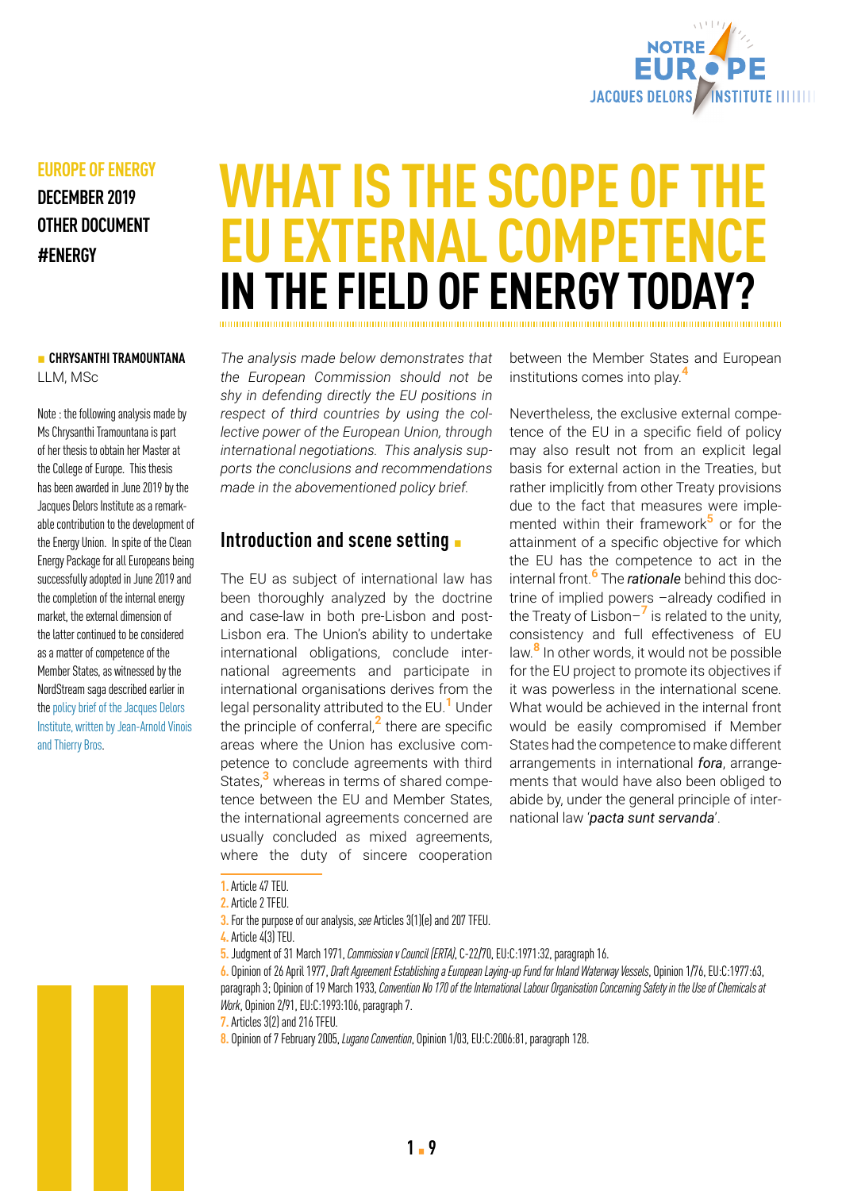

# **EUROPE OF ENERGY**

**DECEMBER 2019 OTHER DOCUMENT #ENERGY**

### ▪ **CHRYSANTHI TRAMOUNTANA** LLM, MSc

Note : the following analysis made by Ms Chrysanthi Tramountana is part of her thesis to obtain her Master at the College of Europe. This thesis has been awarded in June 2019 by the Jacques Delors Institute as a remarkable contribution to the development of the Energy Union. In spite of the Clean Energy Package for all Europeans being successfully adopted in June 2019 and the completion of the internal energy market, the external dimension of the latter continued to be considered as a matter of competence of the Member States, as witnessed by the NordStream saga described earlier in the [policy brief of the Jacques Delors](http://russian-gas-pipelines-and-the-eumoving-from-a-love-hate-relationship-with-adults-in-the-room)  [Institute, written by Jean-Arnold Vinois](http://russian-gas-pipelines-and-the-eumoving-from-a-love-hate-relationship-with-adults-in-the-room)  [and Thierry Bros.](http://russian-gas-pipelines-and-the-eumoving-from-a-love-hate-relationship-with-adults-in-the-room)

# **WHAT IS THE SCOPE OF THE EU EXTERNAL COMPETENCE IN THE FIELD OF ENERGY TODAY?**

*The analysis made below demonstrates that the European Commission should not be shy in defending directly the EU positions in respect of third countries by using the collective power of the European Union, through international negotiations. This analysis supports the conclusions and recommendations made in the abovementioned policy brief.*

# **Introduction and scene setting**  $\blacksquare$

The EU as subject of international law has been thoroughly analyzed by the doctrine and case-law in both pre-Lisbon and post-Lisbon era. The Union's ability to undertake international obligations, conclude international agreements and participate in international organisations derives from the legal personality attributed to the EU.**1** Under the principle of conferral,**2** there are specific areas where the Union has exclusive competence to conclude agreements with third States,**3** whereas in terms of shared competence between the EU and Member States, the international agreements concerned are usually concluded as mixed agreements, where the duty of sincere cooperation

between the Member States and European institutions comes into play.**<sup>4</sup>**

Nevertheless, the exclusive external competence of the EU in a specific field of policy may also result not from an explicit legal basis for external action in the Treaties, but rather implicitly from other Treaty provisions due to the fact that measures were implemented within their framework**5** or for the attainment of a specific objective for which the EU has the competence to act in the internal front.**6** The *rationale* behind this doctrine of implied powers –already codified in the Treaty of Lisbon–**7** is related to the unity, consistency and full effectiveness of EU law.**8** In other words, it would not be possible for the EU project to promote its objectives if it was powerless in the international scene. What would be achieved in the internal front would be easily compromised if Member States had the competence to make different arrangements in international *fora*, arrangements that would have also been obliged to abide by, under the general principle of international law '*pacta sunt servanda*'.

**3.** For the purpose of our analysis, *see* Articles 3(1)(e) and 207 TFEU.

**6.** Opinion of 26 April 1977, *Draft Agreement Establishing a European Laying-up Fund for Inland Waterway Vessels*, Opinion 1/76, EU:C:1977:63, paragraph 3; Opinion of 19 March 1933, *Convention No 170 of the International Labour Organisation Concerning Safety in the Use of Chemicals at Work*, Opinion 2/91, EU:C:1993:106, paragraph 7.

- **7.** Articles 3(2) and 216 TFEU.
- **8.** Opinion of 7 February 2005, *Lugano Convention*, Opinion 1/03, EU:C:2006:81, paragraph 128.

**<sup>1.</sup>** Article 47 TEU.

**<sup>2.</sup>** Article 2 TFEU.

**<sup>4.</sup>** Article 4(3) TEU.

**<sup>5.</sup>** Judgment of 31 March 1971, *Commission v Council (ERTA)*, C-22/70, EU:C:1971:32, paragraph 16.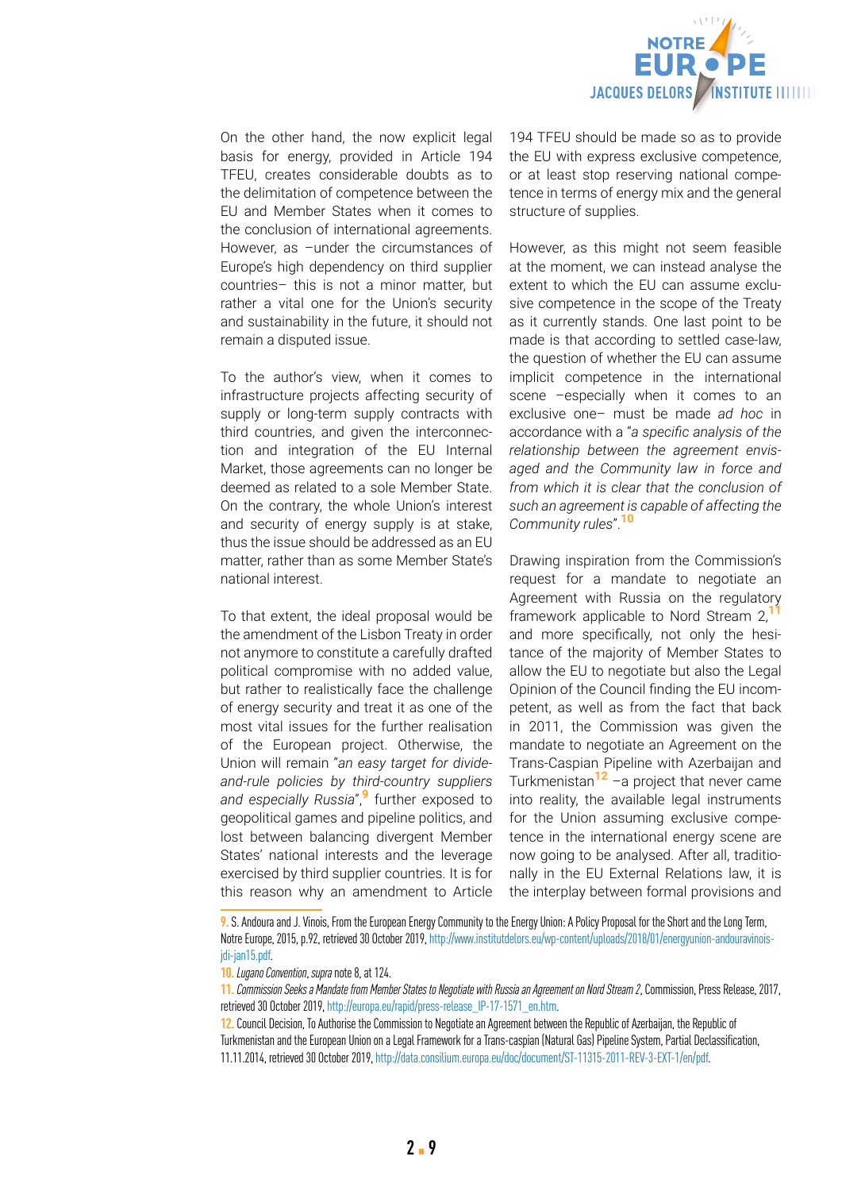

On the other hand, the now explicit legal basis for energy, provided in Article 194 TFEU, creates considerable doubts as to the delimitation of competence between the EU and Member States when it comes to the conclusion of international agreements. However, as –under the circumstances of Europe's high dependency on third supplier countries– this is not a minor matter, but rather a vital one for the Union's security and sustainability in the future, it should not remain a disputed issue.

To the author's view, when it comes to infrastructure projects affecting security of supply or long-term supply contracts with third countries, and given the interconnection and integration of the EU Internal Market, those agreements can no longer be deemed as related to a sole Member State. On the contrary, the whole Union's interest and security of energy supply is at stake, thus the issue should be addressed as an EU matter, rather than as some Member State's national interest.

To that extent, the ideal proposal would be the amendment of the Lisbon Treaty in order not anymore to constitute a carefully drafted political compromise with no added value, but rather to realistically face the challenge of energy security and treat it as one of the most vital issues for the further realisation of the European project. Otherwise, the Union will remain "*an easy target for divideand-rule policies by third-country suppliers and especially Russia*",**9** further exposed to geopolitical games and pipeline politics, and lost between balancing divergent Member States' national interests and the leverage exercised by third supplier countries. It is for this reason why an amendment to Article

194 TFEU should be made so as to provide the EU with express exclusive competence, or at least stop reserving national competence in terms of energy mix and the general structure of supplies.

However, as this might not seem feasible at the moment, we can instead analyse the extent to which the EU can assume exclusive competence in the scope of the Treaty as it currently stands. One last point to be made is that according to settled case-law, the question of whether the EU can assume implicit competence in the international scene –especially when it comes to an exclusive one– must be made *ad hoc* in accordance with a "*a specific analysis of the relationship between the agreement envisaged and the Community law in force and from which it is clear that the conclusion of such an agreement is capable of affecting the Community rules*".**<sup>10</sup>**

Drawing inspiration from the Commission's request for a mandate to negotiate an Agreement with Russia on the regulatory framework applicable to Nord Stream 2,**<sup>11</sup>** and more specifically, not only the hesitance of the majority of Member States to allow the EU to negotiate but also the Legal Opinion of the Council finding the EU incompetent, as well as from the fact that back in 2011, the Commission was given the mandate to negotiate an Agreement on the Trans-Caspian Pipeline with Azerbaijan and Turkmenistan**12** –a project that never came into reality, the available legal instruments for the Union assuming exclusive competence in the international energy scene are now going to be analysed. After all, traditionally in the EU External Relations law, it is the interplay between formal provisions and

**<sup>9.</sup>** S. Andoura and J. Vinois, From the European Energy Community to the Energy Union: A Policy Proposal for the Short and the Long Term, Notre Europe, 2015, p.92, retrieved 30 October 2019, [http://www.institutdelors.eu/wp-content/uploads/2018/01/energyunion-andouravinois](http://www.institutdelors.eu/wp-content/uploads/2018/01/energyunion-andouravinois-jdi-jan15.pdf)[jdi-jan15.pdf](http://www.institutdelors.eu/wp-content/uploads/2018/01/energyunion-andouravinois-jdi-jan15.pdf).

**<sup>10.</sup>***Lugano Convention*, *supra* note 8, at 124.

**<sup>11.</sup>***Commission Seeks a Mandate from Member States to Negotiate with Russia an Agreement on Nord Stream 2*, Commission, Press Release, 2017, retrieved 30 October 2019, [http://europa.eu/rapid/press-release\\_IP-17-1571\\_en.htm.](http://europa.eu/rapid/press-release_IP-17-1571_en.htm)

**<sup>12.</sup>** Council Decision, To Authorise the Commission to Negotiate an Agreement between the Republic of Azerbaijan, the Republic of Turkmenistan and the European Union on a Legal Framework for a Trans-caspian (Natural Gas) Pipeline System, Partial Declassification, 11.11.2014, retrieved 30 October 2019, [http://data.consilium.europa.eu/doc/document/ST-11315-2011-REV-3-EXT-1/en/pdf.](http://data.consilium.europa.eu/doc/document/ST-11315-2011-REV-3-EXT-1/en/pdf)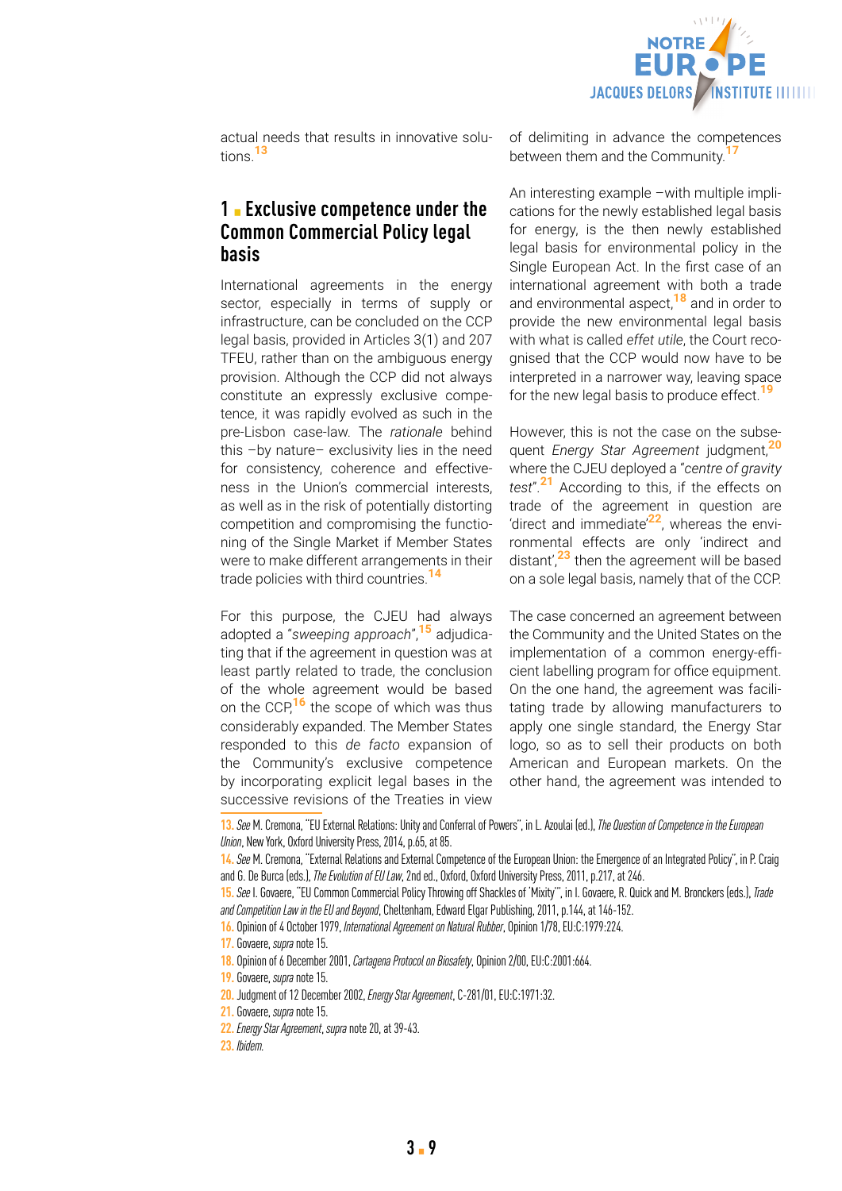

actual needs that results in innovative solutions.**<sup>13</sup>**

# **1** ▪ **Exclusive competence under the Common Commercial Policy legal basis**

International agreements in the energy sector, especially in terms of supply or infrastructure, can be concluded on the CCP legal basis, provided in Articles 3(1) and 207 TFEU, rather than on the ambiguous energy provision. Although the CCP did not always constitute an expressly exclusive competence, it was rapidly evolved as such in the pre-Lisbon case-law. The *rationale* behind this –by nature– exclusivity lies in the need for consistency, coherence and effectiveness in the Union's commercial interests, as well as in the risk of potentially distorting competition and compromising the functioning of the Single Market if Member States were to make different arrangements in their trade policies with third countries.**<sup>14</sup>**

For this purpose, the CJEU had always adopted a "*sweeping approach*",**15** adjudicating that if the agreement in question was at least partly related to trade, the conclusion of the whole agreement would be based on the CCP,**16** the scope of which was thus considerably expanded. The Member States responded to this *de facto* expansion of the Community's exclusive competence by incorporating explicit legal bases in the successive revisions of the Treaties in view of delimiting in advance the competences between them and the Community.<sup>1</sup>

An interesting example –with multiple implications for the newly established legal basis for energy, is the then newly established legal basis for environmental policy in the Single European Act. In the first case of an international agreement with both a trade and environmental aspect,**18** and in order to provide the new environmental legal basis with what is called *effet utile*, the Court recognised that the CCP would now have to be interpreted in a narrower way, leaving space for the new legal basis to produce effect.**<sup>19</sup>**

However, this is not the case on the subsequent *Energy Star Agreement* judgment,**<sup>20</sup>** where the CJEU deployed a "*centre of gravity test*".**21** According to this, if the effects on trade of the agreement in question are 'direct and immediate'**22**, whereas the environmental effects are only 'indirect and distant',**23** then the agreement will be based on a sole legal basis, namely that of the CCP.

The case concerned an agreement between the Community and the United States on the implementation of a common energy-efficient labelling program for office equipment. On the one hand, the agreement was facilitating trade by allowing manufacturers to apply one single standard, the Energy Star logo, so as to sell their products on both American and European markets. On the other hand, the agreement was intended to

**<sup>13.</sup>***See* M. Cremona, "EU External Relations: Unity and Conferral of Powers", in L. Azoulai (ed.), *The Question of Competence in the European Union*, New York, Oxford University Press, 2014, p.65, at 85.

**<sup>14.</sup>***See* M. Cremona, "External Relations and External Competence of the European Union: the Emergence of an Integrated Policy", in P. Craig and G. De Burca (eds.), *The Evolution of EU Law*, 2nd ed., Oxford, Oxford University Press, 2011, p.217, at 246.

**<sup>15.</sup>***See* I. Govaere, "EU Common Commercial Policy Throwing off Shackles of 'Mixity'", in I. Govaere, R. Quick and M. Bronckers (eds.), *Trade and Competition Law in the EU and Beyond*, Cheltenham, Edward Elgar Publishing, 2011, p.144, at 146-152.

**<sup>16.</sup>** Opinion of 4 October 1979, *International Agreement on Natural Rubber*, Opinion 1/78, EU:C:1979:224.

**<sup>17.</sup>** Govaere, *supra* note 15.

**<sup>18.</sup>** Opinion of 6 December 2001, *Cartagena Protocol on Biosafety*, Opinion 2/00, EU:C:2001:664.

**<sup>19.</sup>** Govaere, *supra* note 15.

**<sup>20.</sup>** Judgment of 12 December 2002, *Energy Star Agreement*, C-281/01, EU:C:1971:32.

**<sup>21.</sup>** Govaere, *supra* note 15.

**<sup>22.</sup>***Energy Star Agreement*, *supra* note 20, at 39-43.

**<sup>23.</sup>** *Ibidem.*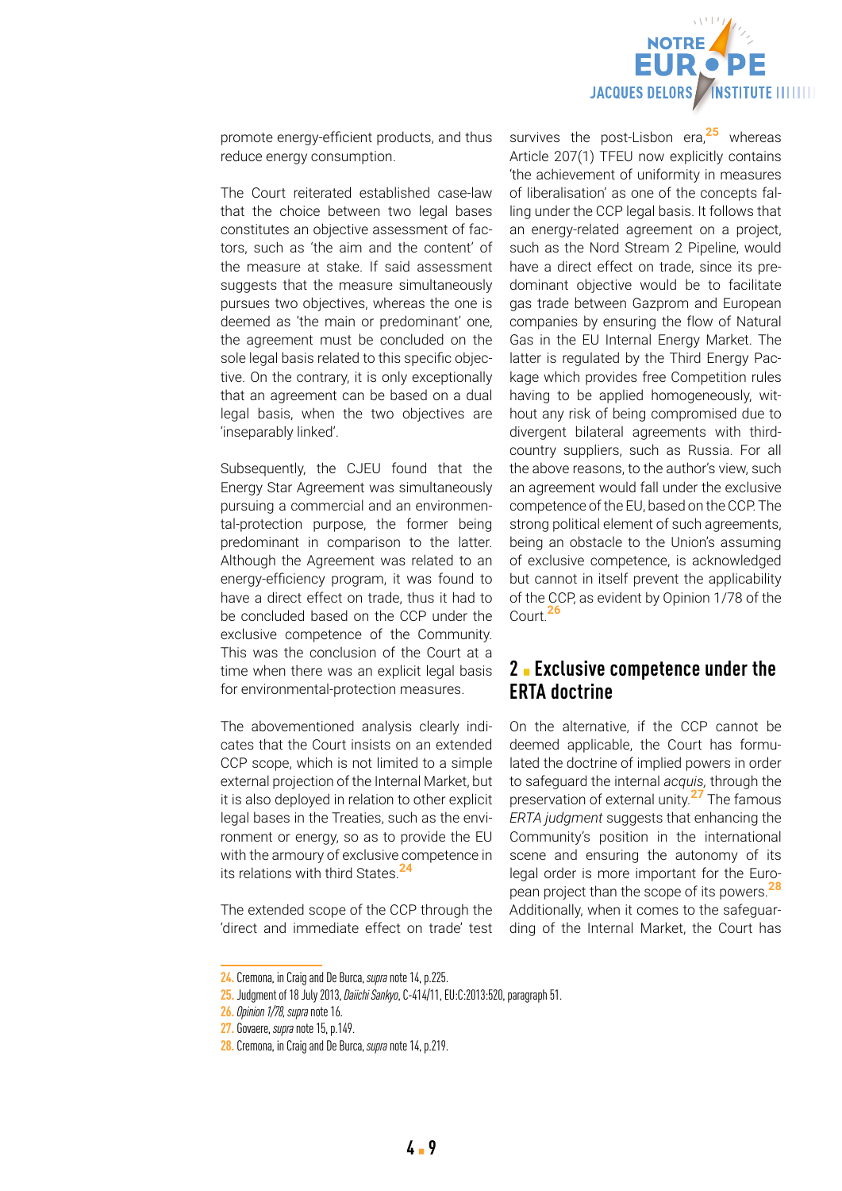

promote energy-efficient products, and thus reduce energy consumption.

The Court reiterated established case-law that the choice between two legal bases constitutes an objective assessment of factors, such as 'the aim and the content' of the measure at stake. If said assessment suggests that the measure simultaneously pursues two objectives, whereas the one is deemed as 'the main or predominant' one, the agreement must be concluded on the sole legal basis related to this specific objective. On the contrary, it is only exceptionally that an agreement can be based on a dual legal basis, when the two objectives are 'inseparably linked'.

Subsequently, the CJEU found that the Energy Star Agreement was simultaneously pursuing a commercial and an environmental-protection purpose, the former being predominant in comparison to the latter. Although the Agreement was related to an energy-efficiency program, it was found to have a direct effect on trade, thus it had to be concluded based on the CCP under the exclusive competence of the Community. This was the conclusion of the Court at a time when there was an explicit legal basis for environmental-protection measures.

The abovementioned analysis clearly indicates that the Court insists on an extended CCP scope, which is not limited to a simple external projection of the Internal Market, but it is also deployed in relation to other explicit legal bases in the Treaties, such as the environment or energy, so as to provide the EU with the armoury of exclusive competence in its relations with third States.**<sup>24</sup>**

The extended scope of the CCP through the 'direct and immediate effect on trade' test

survives the post-Lisbon era,**25** whereas Article 207(1) TFEU now explicitly contains 'the achievement of uniformity in measures of liberalisation' as one of the concepts falling under the CCP legal basis. It follows that an energy-related agreement on a project, such as the Nord Stream 2 Pipeline, would have a direct effect on trade, since its predominant objective would be to facilitate gas trade between Gazprom and European companies by ensuring the flow of Natural Gas in the EU Internal Energy Market. The latter is regulated by the Third Energy Package which provides free Competition rules having to be applied homogeneously, without any risk of being compromised due to divergent bilateral agreements with thirdcountry suppliers, such as Russia. For all the above reasons, to the author's view, such an agreement would fall under the exclusive competence of the EU, based on the CCP. The strong political element of such agreements, being an obstacle to the Union's assuming of exclusive competence, is acknowledged but cannot in itself prevent the applicability of the CCP, as evident by Opinion 1/78 of the Court.**<sup>26</sup>**

## **2** ▪ **Exclusive competence under the ERTA doctrine**

On the alternative, if the CCP cannot be deemed applicable, the Court has formulated the doctrine of implied powers in order to safeguard the internal *acquis,* through the preservation of external unity.**27** The famous *ERTA judgment* suggests that enhancing the Community's position in the international scene and ensuring the autonomy of its legal order is more important for the European project than the scope of its powers.**<sup>28</sup>** Additionally, when it comes to the safeguarding of the Internal Market, the Court has

**<sup>24.</sup>** Cremona, in Craig and De Burca, *supra* note 14, p.225.

**<sup>25.</sup>** Judgment of 18 July 2013, *Daiichi Sankyo*, C-414/11, EU:C:2013:520, paragraph 51.

**<sup>26.</sup>***Opinion 1/78, supra* note 16.

**<sup>27.</sup>** Govaere, *supra* note 15, p.149.

**<sup>28.</sup>** Cremona, in Craig and De Burca, *supra* note 14, p.219.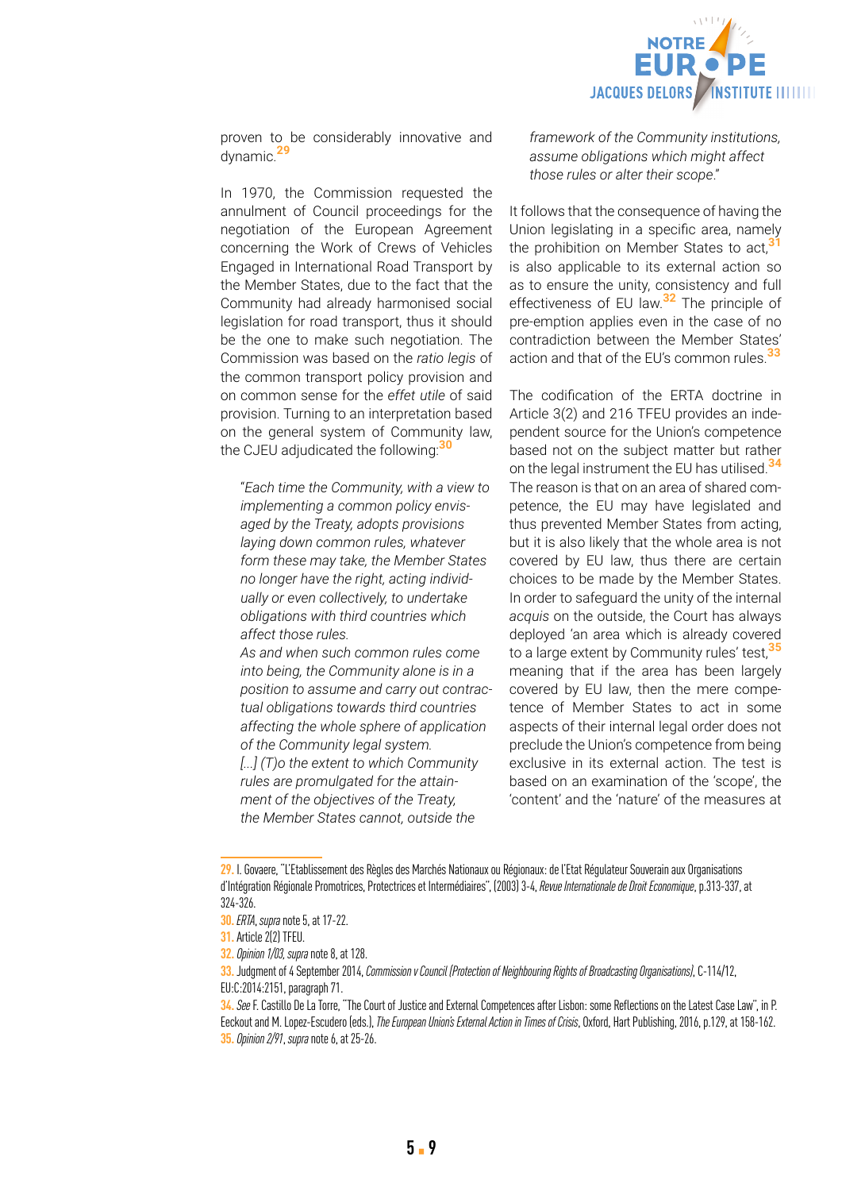

proven to be considerably innovative and dynamic.**<sup>29</sup>**

In 1970, the Commission requested the annulment of Council proceedings for the negotiation of the European Agreement concerning the Work of Crews of Vehicles Engaged in International Road Transport by the Member States, due to the fact that the Community had already harmonised social legislation for road transport, thus it should be the one to make such negotiation. The Commission was based on the *ratio legis* of the common transport policy provision and on common sense for the *effet utile* of said provision. Turning to an interpretation based on the general system of Community law, the CJEU adjudicated the following:**<sup>30</sup>**

"*Each time the Community, with a view to implementing a common policy envisaged by the Treaty, adopts provisions laying down common rules, whatever form these may take, the Member States no longer have the right, acting individually or even collectively, to undertake obligations with third countries which affect those rules.*

*As and when such common rules come into being, the Community alone is in a position to assume and carry out contractual obligations towards third countries affecting the whole sphere of application of the Community legal system. [...] (T)o the extent to which Community rules are promulgated for the attainment of the objectives of the Treaty, the Member States cannot, outside the* 

*framework of the Community institutions, assume obligations which might affect those rules or alter their scope*."

It follows that the consequence of having the Union legislating in a specific area, namely the prohibition on Member States to act,**<sup>31</sup>** is also applicable to its external action so as to ensure the unity, consistency and full effectiveness of EU law.**32** The principle of pre-emption applies even in the case of no contradiction between the Member States' action and that of the EU's common rules.**<sup>33</sup>**

The codification of the ERTA doctrine in Article 3(2) and 216 TFEU provides an independent source for the Union's competence based not on the subject matter but rather on the legal instrument the EU has utilised.**<sup>34</sup>** The reason is that on an area of shared competence, the EU may have legislated and thus prevented Member States from acting, but it is also likely that the whole area is not covered by EU law, thus there are certain choices to be made by the Member States. In order to safeguard the unity of the internal *acquis* on the outside, the Court has always deployed 'an area which is already covered to a large extent by Community rules' test,**<sup>35</sup>** meaning that if the area has been largely covered by EU law, then the mere competence of Member States to act in some aspects of their internal legal order does not preclude the Union's competence from being exclusive in its external action. The test is based on an examination of the 'scope', the 'content' and the 'nature' of the measures at

**<sup>29.</sup>** I. Govaere, "L'Etablissement des Règles des Marchés Nationaux ou Régionaux: de l'Etat Régulateur Souverain aux Organisations d'Intégration Régionale Promotrices, Protectrices et Intermédiaires", (2003) 3-4, *Revue Internationale de Droit Economique*, p.313-337, at 324-326.

**<sup>30.</sup>** *ERTA*, *supra* note 5, at 17-22.

**<sup>31.</sup>** Article 2(2) TFEU.

**<sup>32.</sup>***Opinion 1/03, supra* note 8, at 128.

**<sup>33.</sup>** Judgment of 4 September 2014, *Commission v Council (Protection of Neighbouring Rights of Broadcasting Organisations)*, C-114/12, EU:C:2014:2151, paragraph 71.

**<sup>34.</sup>***See* F. Castillo De La Torre, "The Court of Justice and External Competences after Lisbon: some Reflections on the Latest Case Law", in P. Eeckout and M. Lopez-Escudero (eds.), *The European Union's External Action in Times of Crisis*, Oxford, Hart Publishing, 2016, p.129, at 158-162. **35.***Opinion 2/91*, *supra* note 6, at 25-26.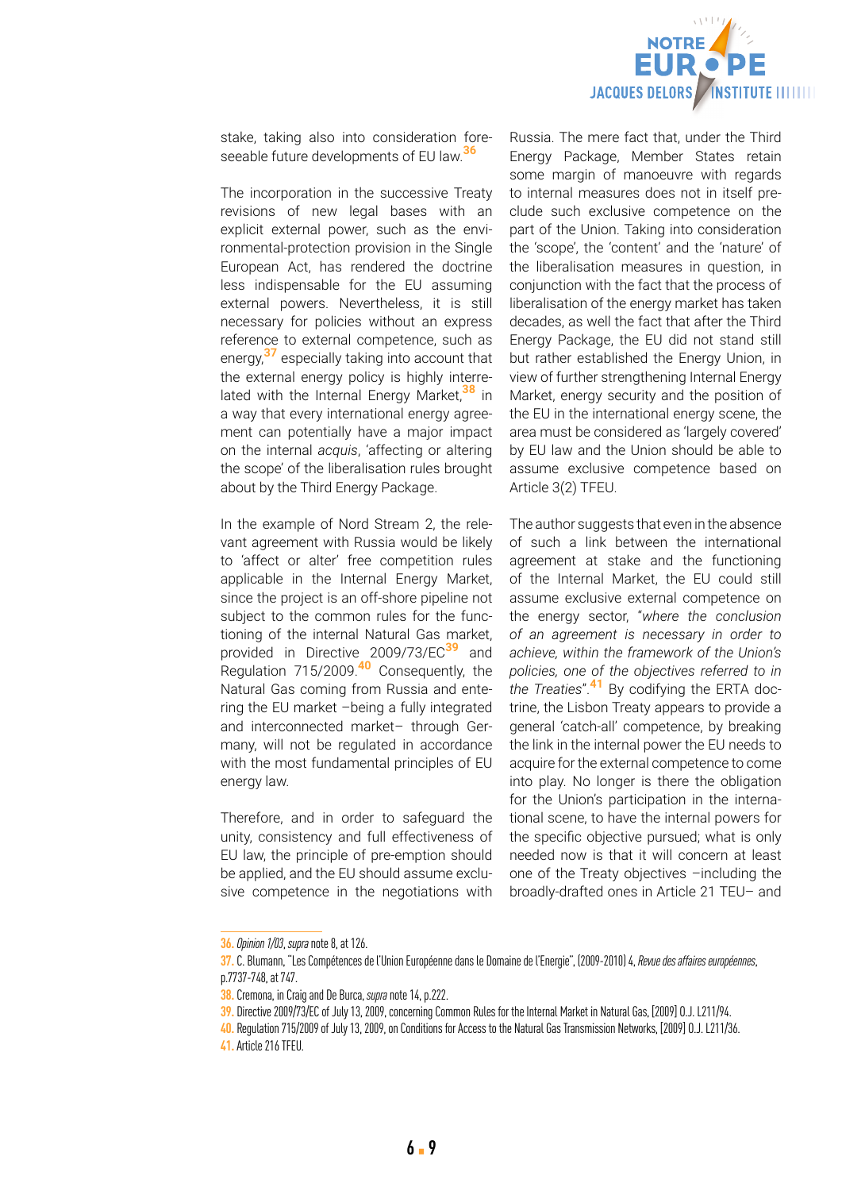

stake, taking also into consideration foreseeable future developments of EU law.**<sup>36</sup>**

The incorporation in the successive Treaty revisions of new legal bases with an explicit external power, such as the environmental-protection provision in the Single European Act, has rendered the doctrine less indispensable for the EU assuming external powers. Nevertheless, it is still necessary for policies without an express reference to external competence, such as energy,**37** especially taking into account that the external energy policy is highly interrelated with the Internal Energy Market,**38** in a way that every international energy agreement can potentially have a major impact on the internal *acquis*, 'affecting or altering the scope' of the liberalisation rules brought about by the Third Energy Package.

In the example of Nord Stream 2, the relevant agreement with Russia would be likely to 'affect or alter' free competition rules applicable in the Internal Energy Market, since the project is an off-shore pipeline not subject to the common rules for the functioning of the internal Natural Gas market, provided in Directive 2009/73/EC**39** and Regulation 715/2009.**40** Consequently, the Natural Gas coming from Russia and entering the EU market –being a fully integrated and interconnected market– through Germany, will not be regulated in accordance with the most fundamental principles of EU energy law.

Therefore, and in order to safeguard the unity, consistency and full effectiveness of EU law, the principle of pre-emption should be applied, and the EU should assume exclusive competence in the negotiations with

Russia. The mere fact that, under the Third Energy Package, Member States retain some margin of manoeuvre with regards to internal measures does not in itself preclude such exclusive competence on the part of the Union. Taking into consideration the 'scope', the 'content' and the 'nature' of the liberalisation measures in question, in conjunction with the fact that the process of liberalisation of the energy market has taken decades, as well the fact that after the Third Energy Package, the EU did not stand still but rather established the Energy Union, in view of further strengthening Internal Energy Market, energy security and the position of the EU in the international energy scene, the area must be considered as 'largely covered' by EU law and the Union should be able to assume exclusive competence based on Article 3(2) TFEU.

The author suggests that even in the absence of such a link between the international agreement at stake and the functioning of the Internal Market, the EU could still assume exclusive external competence on the energy sector, "*where the conclusion of an agreement is necessary in order to achieve, within the framework of the Union's policies, one of the objectives referred to in the Treaties*".**41** By codifying the ERTA doctrine, the Lisbon Treaty appears to provide a general 'catch-all' competence, by breaking the link in the internal power the EU needs to acquire for the external competence to come into play. No longer is there the obligation for the Union's participation in the international scene, to have the internal powers for the specific objective pursued; what is only needed now is that it will concern at least one of the Treaty objectives –including the broadly-drafted ones in Article 21 TEU– and

**<sup>36.</sup>***Opinion 1/03*, *supra* note 8, at 126.

**<sup>37.</sup>** C. Blumann, "Les Compétences de l'Union Européenne dans le Domaine de l'Energie", (2009-2010) 4, *Revue des affaires européennes*, p.7737-748, at 747.

**<sup>38.</sup>** Cremona, in Craig and De Burca, *supra* note 14, p.222.

**<sup>39.</sup>** Directive 2009/73/EC of July 13, 2009, concerning Common Rules for the Internal Market in Natural Gas, [2009] O.J. L211/94.

**<sup>40.</sup>** Regulation 715/2009 of July 13, 2009, on Conditions for Access to the Natural Gas Transmission Networks, [2009] O.J. L211/36.

**<sup>41.</sup>** Article 216 TFEU.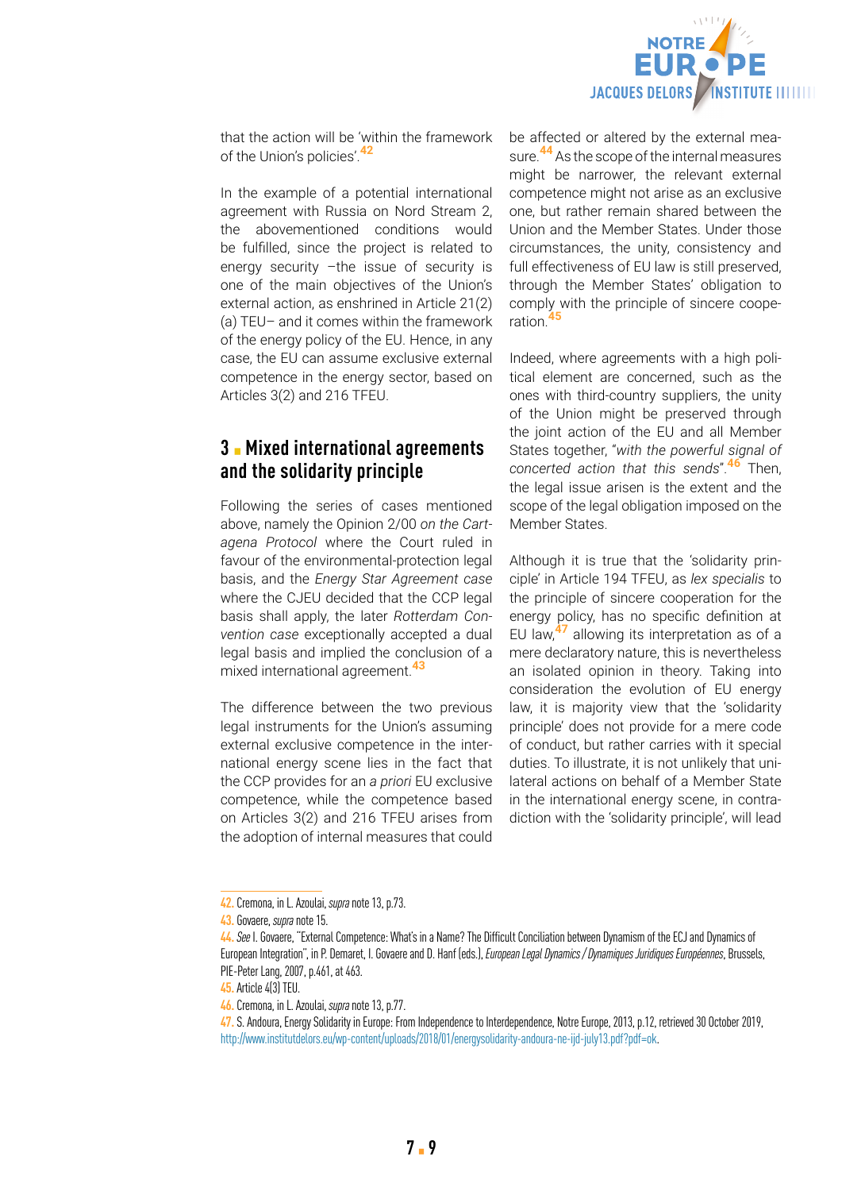

that the action will be 'within the framework of the Union's policies'.**<sup>42</sup>**

In the example of a potential international agreement with Russia on Nord Stream 2, the abovementioned conditions would be fulfilled, since the project is related to energy security –the issue of security is one of the main objectives of the Union's external action, as enshrined in Article 21(2) (a) TEU– and it comes within the framework of the energy policy of the EU. Hence, in any case, the EU can assume exclusive external competence in the energy sector, based on Articles 3(2) and 216 TFEU.

# **3** ▪ **Mixed international agreements and the solidarity principle**

Following the series of cases mentioned above, namely the Opinion 2/00 *on the Cartagena Protocol* where the Court ruled in favour of the environmental-protection legal basis, and the *Energy Star Agreement case* where the CJEU decided that the CCP legal basis shall apply, the later *Rotterdam Convention case* exceptionally accepted a dual legal basis and implied the conclusion of a mixed international agreement.**<sup>43</sup>**

The difference between the two previous legal instruments for the Union's assuming external exclusive competence in the international energy scene lies in the fact that the CCP provides for an *a priori* EU exclusive competence, while the competence based on Articles 3(2) and 216 TFEU arises from the adoption of internal measures that could

be affected or altered by the external measure.**44** As the scope of the internal measures might be narrower, the relevant external competence might not arise as an exclusive one, but rather remain shared between the Union and the Member States. Under those circumstances, the unity, consistency and full effectiveness of EU law is still preserved, through the Member States' obligation to comply with the principle of sincere cooperation.**<sup>45</sup>**

Indeed, where agreements with a high political element are concerned, such as the ones with third-country suppliers, the unity of the Union might be preserved through the joint action of the EU and all Member States together, "*with the powerful signal of concerted action that this sends*".**46** Then, the legal issue arisen is the extent and the scope of the legal obligation imposed on the Member States.

Although it is true that the 'solidarity principle' in Article 194 TFEU, as *lex specialis* to the principle of sincere cooperation for the energy policy, has no specific definition at EU law,**47** allowing its interpretation as of a mere declaratory nature, this is nevertheless an isolated opinion in theory. Taking into consideration the evolution of EU energy law, it is majority view that the 'solidarity principle' does not provide for a mere code of conduct, but rather carries with it special duties. To illustrate, it is not unlikely that unilateral actions on behalf of a Member State in the international energy scene, in contradiction with the 'solidarity principle', will lead

**<sup>42.</sup>** Cremona, in L. Azoulai, *supra* note 13, p.73.

**<sup>43.</sup>** Govaere, *supra* note 15.

**<sup>44.</sup>***See* I. Govaere, "External Competence: What's in a Name? The Difficult Conciliation between Dynamism of the ECJ and Dynamics of European Integration", in P. Demaret, I. Govaere and D. Hanf (eds.), *European Legal Dynamics / Dynamiques Juridiques Européennes*, Brussels, PIE-Peter Lang, 2007, p.461, at 463.

**<sup>45.</sup>** Article 4(3) TEU.

**<sup>46.</sup>** Cremona, in L. Azoulai, *supra* note 13, p.77.

**<sup>47.</sup>** S. Andoura, Energy Solidarity in Europe: From Independence to Interdependence, Notre Europe, 2013, p.12, retrieved 30 October 2019, <http://www.institutdelors.eu/wp-content/uploads/2018/01/energysolidarity-andoura-ne-ijd-july13.pdf?pdf=ok>.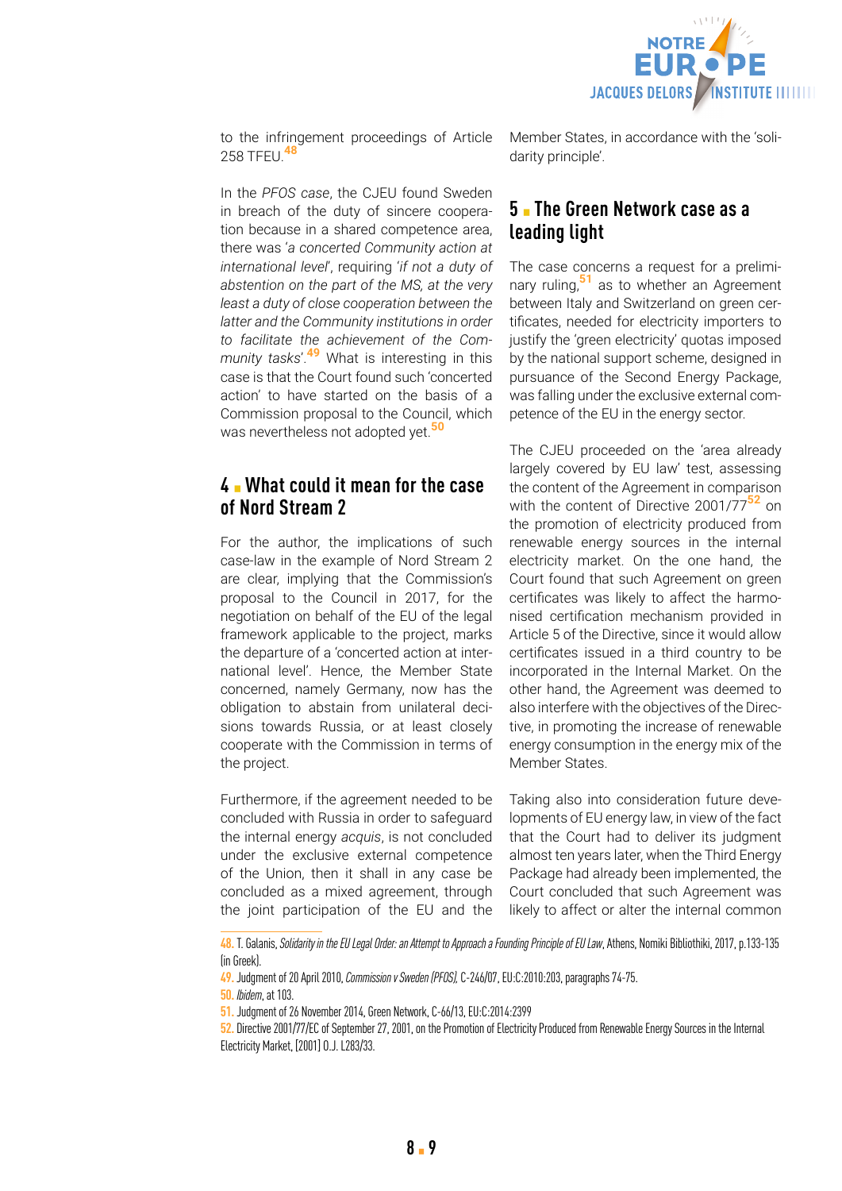

to the infringement proceedings of Article 258 TFEU.**<sup>48</sup>**

In the *PFOS case*, the CJEU found Sweden in breach of the duty of sincere cooperation because in a shared competence area, there was '*a concerted Community action at international level*', requiring '*if not a duty of abstention on the part of the MS, at the very least a duty of close cooperation between the latter and the Community institutions in order to facilitate the achievement of the Community tasks*'.**49** What is interesting in this case is that the Court found such 'concerted action' to have started on the basis of a Commission proposal to the Council, which was nevertheless not adopted yet.**<sup>50</sup>**

# **4** ▪ **What could it mean for the case of Nord Stream 2**

For the author, the implications of such case-law in the example of Nord Stream 2 are clear, implying that the Commission's proposal to the Council in 2017, for the negotiation on behalf of the EU of the legal framework applicable to the project, marks the departure of a 'concerted action at international level'. Hence, the Member State concerned, namely Germany, now has the obligation to abstain from unilateral decisions towards Russia, or at least closely cooperate with the Commission in terms of the project.

Furthermore, if the agreement needed to be concluded with Russia in order to safeguard the internal energy *acquis*, is not concluded under the exclusive external competence of the Union, then it shall in any case be concluded as a mixed agreement, through the joint participation of the EU and the Member States, in accordance with the 'solidarity principle'.

# **5** ▪ **The Green Network case as a leading light**

The case concerns a request for a preliminary ruling,**51** as to whether an Agreement between Italy and Switzerland on green certificates, needed for electricity importers to justify the 'green electricity' quotas imposed by the national support scheme, designed in pursuance of the Second Energy Package, was falling under the exclusive external competence of the EU in the energy sector.

The CJEU proceeded on the 'area already largely covered by EU law' test, assessing the content of the Agreement in comparison with the content of Directive 2001/77**52** on the promotion of electricity produced from renewable energy sources in the internal electricity market. On the one hand, the Court found that such Agreement on green certificates was likely to affect the harmonised certification mechanism provided in Article 5 of the Directive, since it would allow certificates issued in a third country to be incorporated in the Internal Market. On the other hand, the Agreement was deemed to also interfere with the objectives of the Directive, in promoting the increase of renewable energy consumption in the energy mix of the Member States.

Taking also into consideration future developments of EU energy law, in view of the fact that the Court had to deliver its judgment almost ten years later, when the Third Energy Package had already been implemented, the Court concluded that such Agreement was likely to affect or alter the internal common

**<sup>48.</sup>** T. Galanis, *Solidarity in the EU Legal Order: an Attempt to Approach a Founding Principle of EU Law*, Athens, Nomiki Bibliothiki, 2017, p.133-135 (in Greek).

**<sup>49.</sup>** Judgment of 20 April 2010, *Commission v Sweden (PFOS),* C-246/07, EU:C:2010:203, paragraphs 74-75.

**<sup>50.</sup>** *Ibidem*, at 103.

**<sup>51.</sup>** Judgment of 26 November 2014, Green Network, C-66/13, EU:C:2014:2399

**<sup>52.</sup>** Directive 2001/77/EC of September 27, 2001, on the Promotion of Electricity Produced from Renewable Energy Sources in the Internal Electricity Market, [2001] O.J. L283/33.